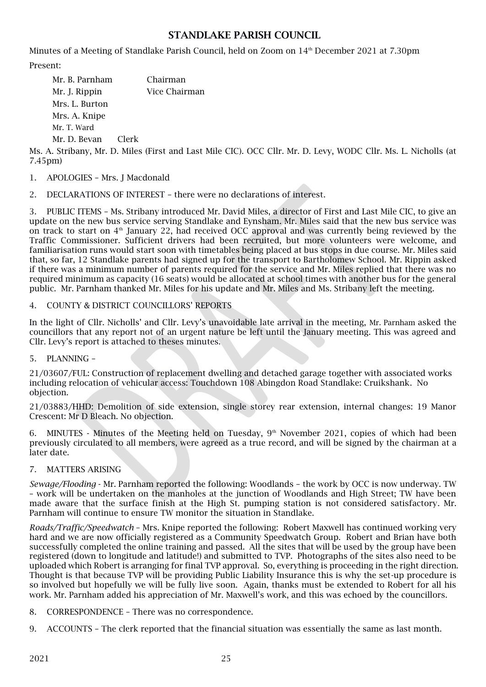# STANDLAKE PARISH COUNCIL

Minutes of a Meeting of Standlake Parish Council, held on Zoom on 14th December 2021 at 7.30pm

Present:

| Mr. B. Parnham |       | Chairman      |
|----------------|-------|---------------|
| Mr. J. Rippin  |       | Vice Chairman |
| Mrs. L. Burton |       |               |
| Mrs. A. Knipe  |       |               |
| Mr. T. Ward    |       |               |
| Mr. D. Bevan   | Clerk |               |

Ms. A. Stribany, Mr. D. Miles (First and Last Mile CIC). OCC Cllr. Mr. D. Levy, WODC Cllr. Ms. L. Nicholls (at 7.45pm)

- 1. APOLOGIES Mrs. J Macdonald
- 2. DECLARATIONS OF INTEREST there were no declarations of interest.

3. PUBLIC ITEMS – Ms. Stribany introduced Mr. David Miles, a director of First and Last Mile CIC, to give an update on the new bus service serving Standlake and Eynsham. Mr. Miles said that the new bus service was on track to start on  $4<sup>th</sup>$  January 22, had received OCC approval and was currently being reviewed by the Traffic Commissioner. Sufficient drivers had been recruited, but more volunteers were welcome, and familiarisation runs would start soon with timetables being placed at bus stops in due course. Mr. Miles said that, so far, 12 Standlake parents had signed up for the transport to Bartholomew School. Mr. Rippin asked if there was a minimum number of parents required for the service and Mr. Miles replied that there was no required minimum as capacity (16 seats) would be allocated at school times with another bus for the general public. Mr. Parnham thanked Mr. Miles for his update and Mr. Miles and Ms. Stribany left the meeting.

#### 4. COUNTY & DISTRICT COUNCILLORS' REPORTS

In the light of Cllr. Nicholls' and Cllr. Levy's unavoidable late arrival in the meeting, Mr. Parnham asked the councillors that any report not of an urgent nature be left until the January meeting. This was agreed and Cllr. Levy's report is attached to theses minutes.

5. PLANNING –

21/03607/FUL: Construction of replacement dwelling and detached garage together with associated works including relocation of vehicular access: Touchdown 108 Abingdon Road Standlake: Cruikshank. No objection.

21/03883/HHD: Demolition of side extension, single storey rear extension, internal changes: 19 Manor Crescent: Mr D Bleach. No objection.

6. MINUTES - Minutes of the Meeting held on Tuesday,  $9<sup>th</sup>$  November 2021, copies of which had been previously circulated to all members, were agreed as a true record, and will be signed by the chairman at a later date.

### 7. MATTERS ARISING

*Sewage/Flooding* - Mr. Parnham reported the following: Woodlands – the work by OCC is now underway. TW – work will be undertaken on the manholes at the junction of Woodlands and High Street; TW have been made aware that the surface finish at the High St. pumping station is not considered satisfactory. Mr. Parnham will continue to ensure TW monitor the situation in Standlake.

*Roads/Traffic/Speedwatch* – Mrs. Knipe reported the following: Robert Maxwell has continued working very hard and we are now officially registered as a Community Speedwatch Group. Robert and Brian have both successfully completed the online training and passed. All the sites that will be used by the group have been registered (down to longitude and latitude!) and submitted to TVP. Photographs of the sites also need to be uploaded which Robert is arranging for final TVP approval. So, everything is proceeding in the right direction. Thought is that because TVP will be providing Public Liability Insurance this is why the set-up procedure is so involved but hopefully we will be fully live soon. Again, thanks must be extended to Robert for all his work. Mr. Parnham added his appreciation of Mr. Maxwell's work, and this was echoed by the councillors.

8. CORRESPONDENCE – There was no correspondence.

9. ACCOUNTS – The clerk reported that the financial situation was essentially the same as last month.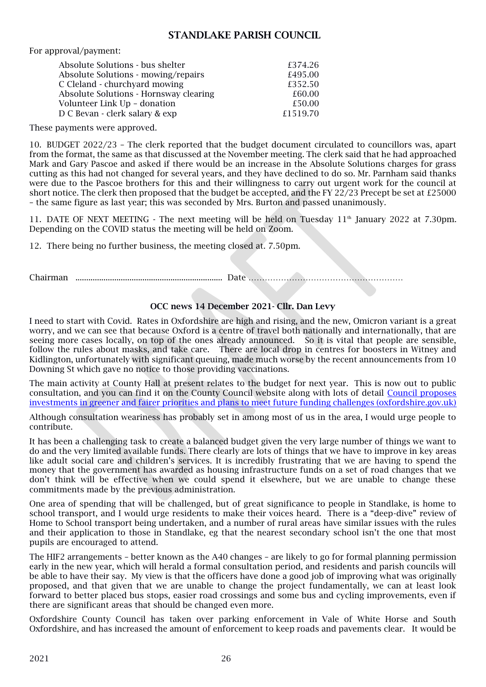## STANDLAKE PARISH COUNCIL

For approval/payment:

| Absolute Solutions - bus shelter       | £374.26  |
|----------------------------------------|----------|
| Absolute Solutions - mowing/repairs    | £495.00  |
| C Cleland - churchyard mowing          | £352.50  |
| Absolute Solutions - Hornsway clearing | £60.00   |
| Volunteer Link Up - donation           | £50.00   |
| D C Bevan - clerk salary & exp         | £1519.70 |

These payments were approved.

10. BUDGET 2022/23 – The clerk reported that the budget document circulated to councillors was, apart from the format, the same as that discussed at the November meeting. The clerk said that he had approached Mark and Gary Pascoe and asked if there would be an increase in the Absolute Solutions charges for grass cutting as this had not changed for several years, and they have declined to do so. Mr. Parnham said thanks were due to the Pascoe brothers for this and their willingness to carry out urgent work for the council at short notice. The clerk then proposed that the budget be accepted, and the FY 22/23 Precept be set at £25000 – the same figure as last year; this was seconded by Mrs. Burton and passed unanimously.

11. DATE OF NEXT MEETING - The next meeting will be held on Tuesday  $11<sup>th</sup>$  January 2022 at 7.30pm. Depending on the COVID status the meeting will be held on Zoom.

12. There being no further business, the meeting closed at. 7.50pm.

Chairman .................................................................... Date …………………………………………………

#### OCC news 14 December 2021- Cllr. Dan Levy

I need to start with Covid. Rates in Oxfordshire are high and rising, and the new, Omicron variant is a great worry, and we can see that because Oxford is a centre of travel both nationally and internationally, that are seeing more cases locally, on top of the ones already announced. So it is vital that people are sensible, follow the rules about masks, and take care. There are local drop in centres for boosters in Witney and Kidlington, unfortunately with significant queuing, made much worse by the recent announcements from 10 Downing St which gave no notice to those providing vaccinations.

The main activity at County Hall at present relates to the budget for next year. This is now out to public consultation, and you can find it on the County Council website along with lots of detail [Council proposes](https://news.oxfordshire.gov.uk/budget-202223/)  [investments in greener and fairer priorities and plans to meet future funding challenges \(oxfordshire.gov.uk\)](https://news.oxfordshire.gov.uk/budget-202223/) 

Although consultation weariness has probably set in among most of us in the area, I would urge people to contribute.

It has been a challenging task to create a balanced budget given the very large number of things we want to do and the very limited available funds. There clearly are lots of things that we have to improve in key areas like adult social care and children's services. It is incredibly frustrating that we are having to spend the money that the government has awarded as housing infrastructure funds on a set of road changes that we don't think will be effective when we could spend it elsewhere, but we are unable to change these commitments made by the previous administration.

One area of spending that will be challenged, but of great significance to people in Standlake, is home to school transport, and I would urge residents to make their voices heard. There is a "deep-dive" review of Home to School transport being undertaken, and a number of rural areas have similar issues with the rules and their application to those in Standlake, eg that the nearest secondary school isn't the one that most pupils are encouraged to attend.

The HIF2 arrangements – better known as the A40 changes – are likely to go for formal planning permission early in the new year, which will herald a formal consultation period, and residents and parish councils will be able to have their say. My view is that the officers have done a good job of improving what was originally proposed, and that given that we are unable to change the project fundamentally, we can at least look forward to better placed bus stops, easier road crossings and some bus and cycling improvements, even if there are significant areas that should be changed even more.

Oxfordshire County Council has taken over parking enforcement in Vale of White Horse and South Oxfordshire, and has increased the amount of enforcement to keep roads and pavements clear. It would be